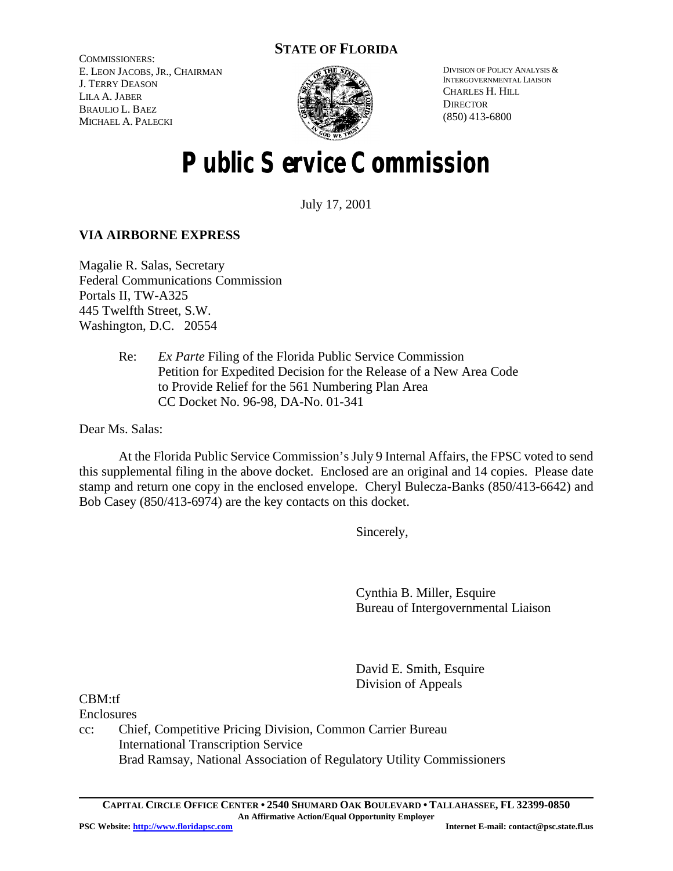# **STATE OF FLORIDA**

COMMISSIONERS: E. LEON JACOBS, JR., CHAIRMAN J. TERRY DEASON LILA A. JABER BRAULIO L. BAEZ MICHAEL A. PALECKI



DIVISION OF POLICY ANALYSIS & INTERGOVERNMENTAL LIAISON CHARLES H. HILL **DIRECTOR** (850) 413-6800

# **Public Service Commission**

July 17, 2001

# **VIA AIRBORNE EXPRESS**

Magalie R. Salas, Secretary Federal Communications Commission Portals II, TW-A325 445 Twelfth Street, S.W. Washington, D.C. 20554

> Re: *Ex Parte* Filing of the Florida Public Service Commission Petition for Expedited Decision for the Release of a New Area Code to Provide Relief for the 561 Numbering Plan Area CC Docket No. 96-98, DA-No. 01-341

Dear Ms. Salas:

At the Florida Public Service Commission's July 9 Internal Affairs, the FPSC voted to send this supplemental filing in the above docket. Enclosed are an original and 14 copies. Please date stamp and return one copy in the enclosed envelope. Cheryl Bulecza-Banks (850/413-6642) and Bob Casey (850/413-6974) are the key contacts on this docket.

Sincerely,

Cynthia B. Miller, Esquire Bureau of Intergovernmental Liaison

David E. Smith, Esquire Division of Appeals

CBM:tf

Enclosures

cc: Chief, Competitive Pricing Division, Common Carrier Bureau International Transcription Service Brad Ramsay, National Association of Regulatory Utility Commissioners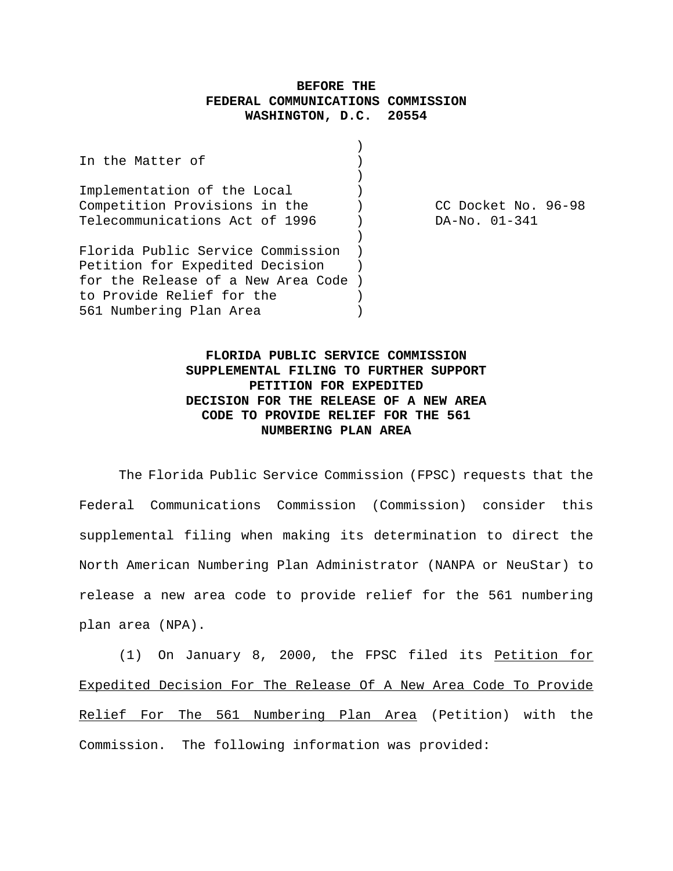## **BEFORE THE FEDERAL COMMUNICATIONS COMMISSION WASHINGTON, D.C. 20554**

| DA-No. 01-341                      |                     |
|------------------------------------|---------------------|
|                                    |                     |
|                                    |                     |
|                                    |                     |
|                                    |                     |
|                                    |                     |
|                                    |                     |
| for the Release of a New Area Code | CC Docket No. 96-98 |

# **FLORIDA PUBLIC SERVICE COMMISSION SUPPLEMENTAL FILING TO FURTHER SUPPORT PETITION FOR EXPEDITED DECISION FOR THE RELEASE OF A NEW AREA CODE TO PROVIDE RELIEF FOR THE 561 NUMBERING PLAN AREA**

The Florida Public Service Commission (FPSC) requests that the Federal Communications Commission (Commission) consider this supplemental filing when making its determination to direct the North American Numbering Plan Administrator (NANPA or NeuStar) to release a new area code to provide relief for the 561 numbering plan area (NPA).

(1) On January 8, 2000, the FPSC filed its Petition for Expedited Decision For The Release Of A New Area Code To Provide Relief For The 561 Numbering Plan Area (Petition) with the Commission. The following information was provided: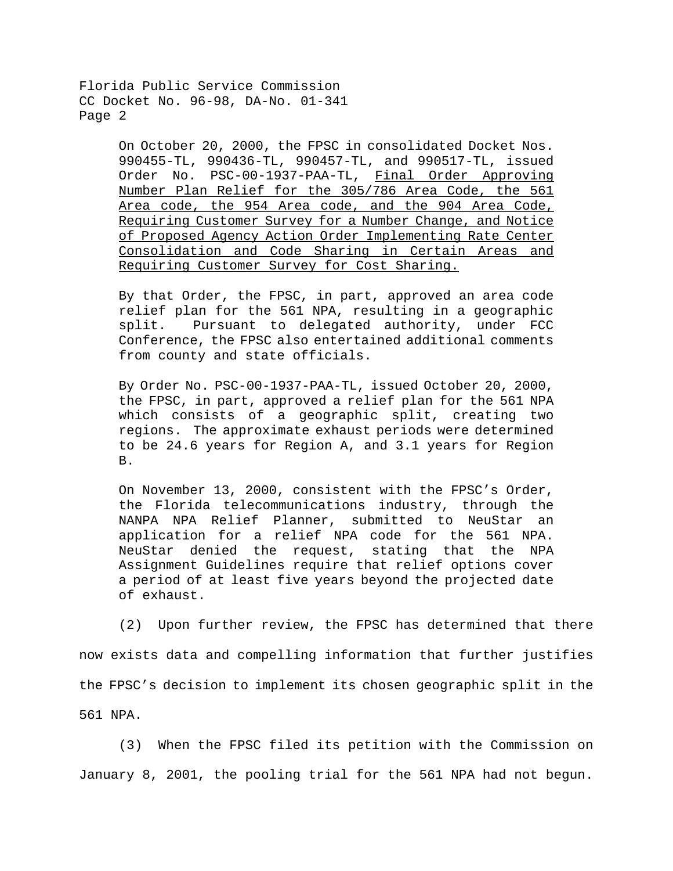> On October 20, 2000, the FPSC in consolidated Docket Nos. 990455-TL, 990436-TL, 990457-TL, and 990517-TL, issued Order No. PSC-00-1937-PAA-TL, Final Order Approving Number Plan Relief for the 305/786 Area Code, the 561 Area code, the 954 Area code, and the 904 Area Code, Requiring Customer Survey for a Number Change, and Notice of Proposed Agency Action Order Implementing Rate Center Consolidation and Code Sharing in Certain Areas and Requiring Customer Survey for Cost Sharing.

> By that Order, the FPSC, in part, approved an area code relief plan for the 561 NPA, resulting in a geographic split. Pursuant to delegated authority, under FCC Conference, the FPSC also entertained additional comments from county and state officials.

> By Order No. PSC-00-1937-PAA-TL, issued October 20, 2000, the FPSC, in part, approved a relief plan for the 561 NPA which consists of a geographic split, creating two regions. The approximate exhaust periods were determined to be 24.6 years for Region A, and 3.1 years for Region B.

> On November 13, 2000, consistent with the FPSC's Order, the Florida telecommunications industry, through the NANPA NPA Relief Planner, submitted to NeuStar an application for a relief NPA code for the 561 NPA. NeuStar denied the request, stating that the NPA Assignment Guidelines require that relief options cover a period of at least five years beyond the projected date of exhaust.

(2) Upon further review, the FPSC has determined that there now exists data and compelling information that further justifies the FPSC's decision to implement its chosen geographic split in the 561 NPA.

(3) When the FPSC filed its petition with the Commission on January 8, 2001, the pooling trial for the 561 NPA had not begun.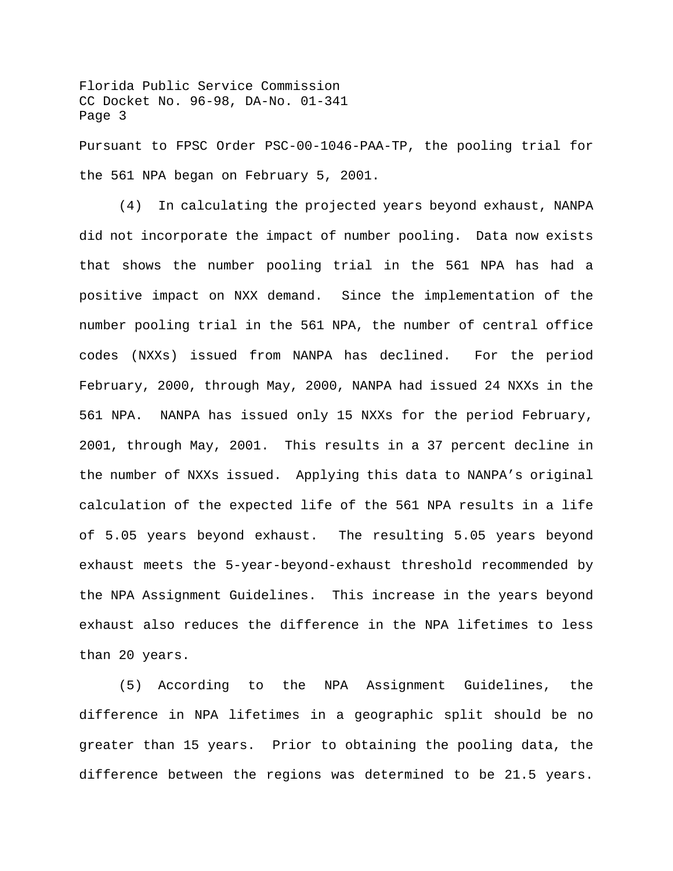Florida Public Service Commission CC Docket No. 96-98, DA-No. 01-341 Page 3 Pursuant to FPSC Order PSC-00-1046-PAA-TP, the pooling trial for the 561 NPA began on February 5, 2001.

(4) In calculating the projected years beyond exhaust, NANPA did not incorporate the impact of number pooling. Data now exists that shows the number pooling trial in the 561 NPA has had a positive impact on NXX demand. Since the implementation of the number pooling trial in the 561 NPA, the number of central office codes (NXXs) issued from NANPA has declined. For the period February, 2000, through May, 2000, NANPA had issued 24 NXXs in the 561 NPA. NANPA has issued only 15 NXXs for the period February, 2001, through May, 2001. This results in a 37 percent decline in the number of NXXs issued. Applying this data to NANPA's original calculation of the expected life of the 561 NPA results in a life of 5.05 years beyond exhaust. The resulting 5.05 years beyond exhaust meets the 5-year-beyond-exhaust threshold recommended by the NPA Assignment Guidelines. This increase in the years beyond exhaust also reduces the difference in the NPA lifetimes to less than 20 years.

(5) According to the NPA Assignment Guidelines, the difference in NPA lifetimes in a geographic split should be no greater than 15 years. Prior to obtaining the pooling data, the difference between the regions was determined to be 21.5 years.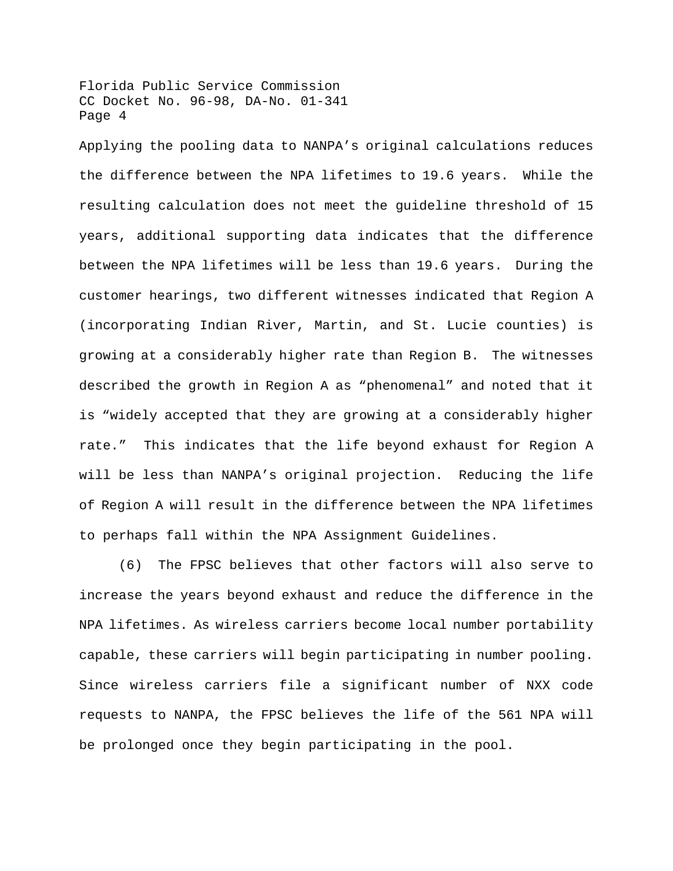Applying the pooling data to NANPA's original calculations reduces the difference between the NPA lifetimes to 19.6 years. While the resulting calculation does not meet the guideline threshold of 15 years, additional supporting data indicates that the difference between the NPA lifetimes will be less than 19.6 years. During the customer hearings, two different witnesses indicated that Region A (incorporating Indian River, Martin, and St. Lucie counties) is growing at a considerably higher rate than Region B. The witnesses described the growth in Region A as "phenomenal" and noted that it is "widely accepted that they are growing at a considerably higher rate." This indicates that the life beyond exhaust for Region A will be less than NANPA's original projection. Reducing the life of Region A will result in the difference between the NPA lifetimes to perhaps fall within the NPA Assignment Guidelines.

(6) The FPSC believes that other factors will also serve to increase the years beyond exhaust and reduce the difference in the NPA lifetimes. As wireless carriers become local number portability capable, these carriers will begin participating in number pooling. Since wireless carriers file a significant number of NXX code requests to NANPA, the FPSC believes the life of the 561 NPA will be prolonged once they begin participating in the pool.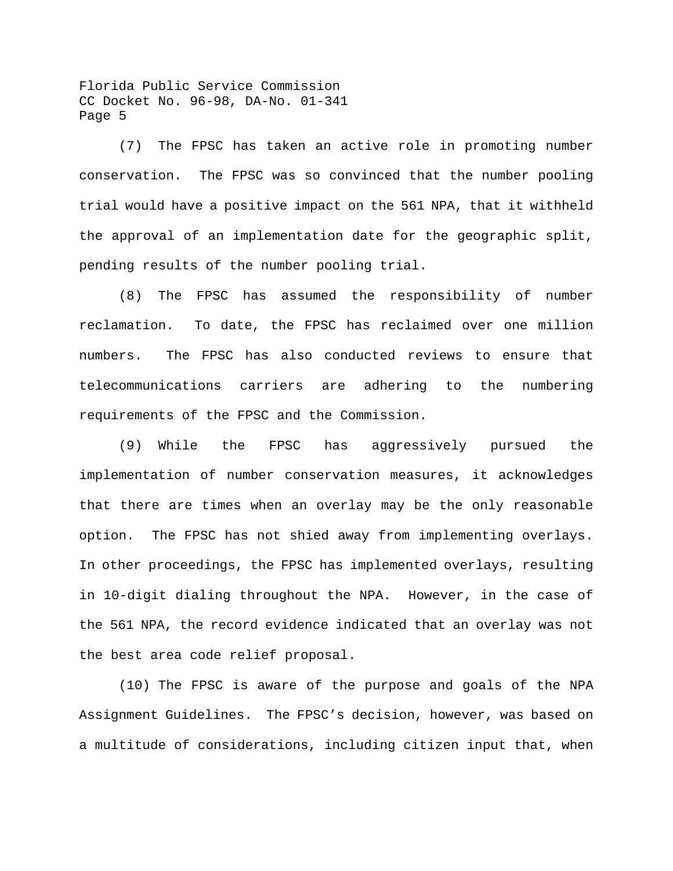(7) The FPSC has taken an active role in promoting number conservation. The FPSC was so convinced that the number pooling trial would have a positive impact on the 561 NPA, that it withheld the approval of an implementation date for the geographic split, pending results of the number pooling trial.

(8) The FPSC has assumed the responsibility of number reclamation. To date, the FPSC has reclaimed over one million numbers. The FPSC has also conducted reviews to ensure that telecommunications carriers are adhering to the numbering requirements of the FPSC and the Commission.

(9) While the FPSC has aggressively pursued the implementation of number conservation measures, it acknowledges that there are times when an overlay may be the only reasonable option. The FPSC has not shied away from implementing overlays. In other proceedings, the FPSC has implemented overlays, resulting in 10-digit dialing throughout the NPA. However, in the case of the 561 NPA, the record evidence indicated that an overlay was not the best area code relief proposal.

(10) The FPSC is aware of the purpose and goals of the NPA Assignment Guidelines. The FPSC's decision, however, was based on a multitude of considerations, including citizen input that, when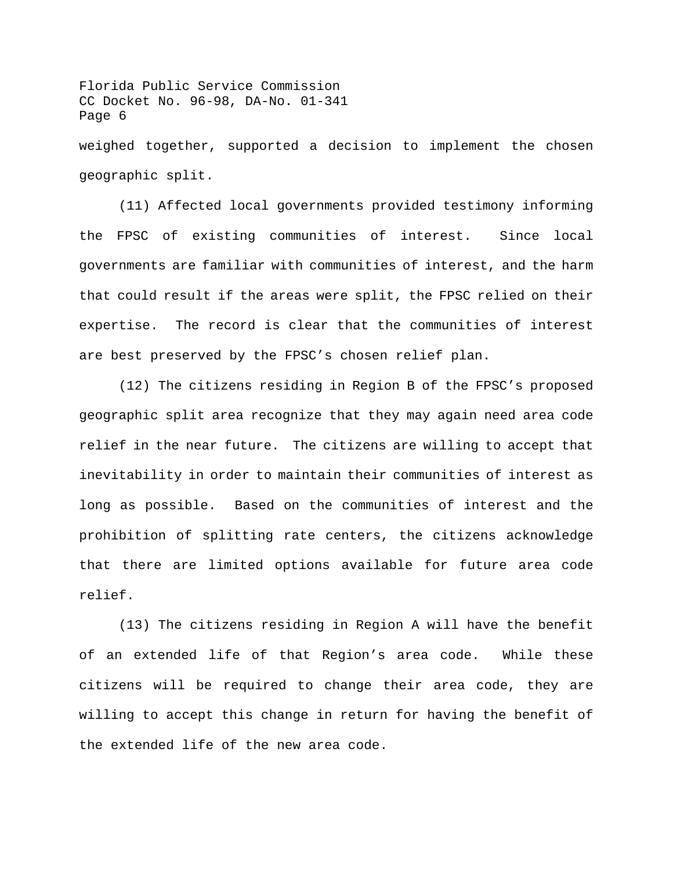Florida Public Service Commission CC Docket No. 96-98, DA-No. 01-341 Page 6 weighed together, supported a decision to implement the chosen

geographic split.

(11) Affected local governments provided testimony informing the FPSC of existing communities of interest. Since local governments are familiar with communities of interest, and the harm that could result if the areas were split, the FPSC relied on their expertise. The record is clear that the communities of interest are best preserved by the FPSC's chosen relief plan.

(12) The citizens residing in Region B of the FPSC's proposed geographic split area recognize that they may again need area code relief in the near future. The citizens are willing to accept that inevitability in order to maintain their communities of interest as long as possible. Based on the communities of interest and the prohibition of splitting rate centers, the citizens acknowledge that there are limited options available for future area code relief.

(13) The citizens residing in Region A will have the benefit of an extended life of that Region's area code. While these citizens will be required to change their area code, they are willing to accept this change in return for having the benefit of the extended life of the new area code.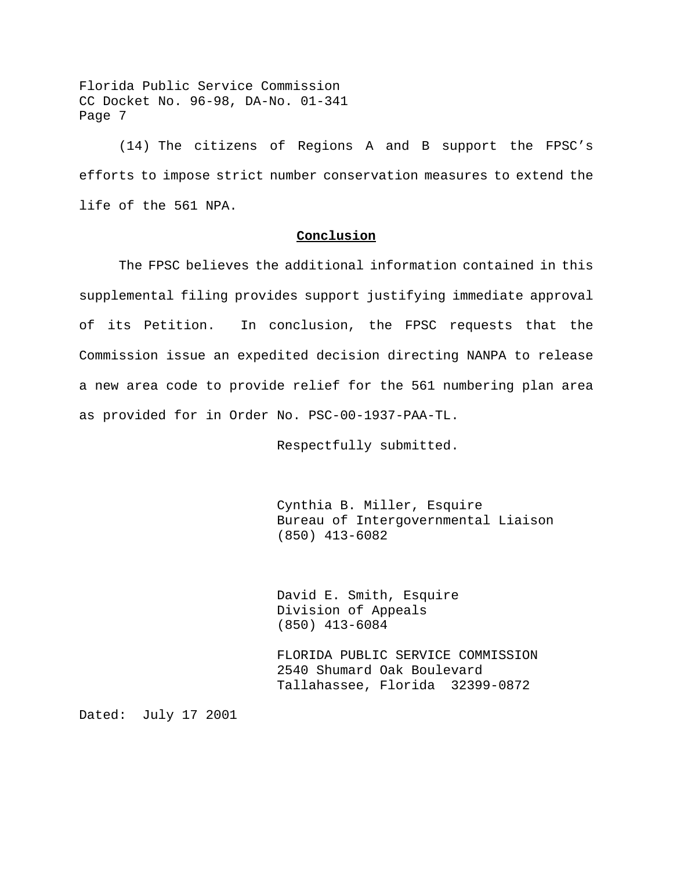(14) The citizens of Regions A and B support the FPSC's efforts to impose strict number conservation measures to extend the life of the 561 NPA.

#### **Conclusion**

The FPSC believes the additional information contained in this supplemental filing provides support justifying immediate approval of its Petition. In conclusion, the FPSC requests that the Commission issue an expedited decision directing NANPA to release a new area code to provide relief for the 561 numbering plan area as provided for in Order No. PSC-00-1937-PAA-TL.

Respectfully submitted.

Cynthia B. Miller, Esquire Bureau of Intergovernmental Liaison (850) 413-6082

David E. Smith, Esquire Division of Appeals (850) 413-6084

FLORIDA PUBLIC SERVICE COMMISSION 2540 Shumard Oak Boulevard Tallahassee, Florida 32399-0872

Dated: July 17 2001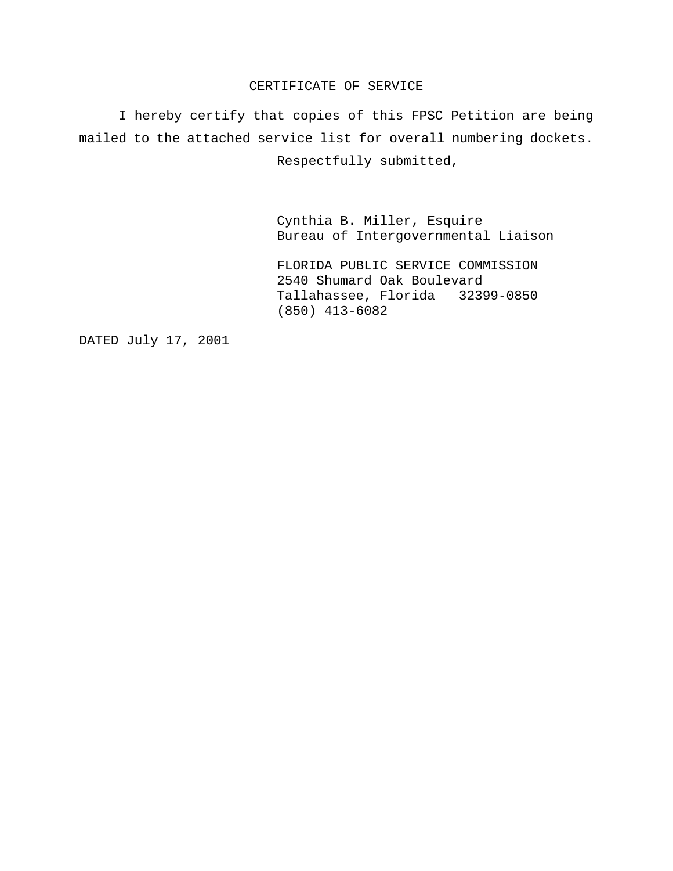### CERTIFICATE OF SERVICE

I hereby certify that copies of this FPSC Petition are being mailed to the attached service list for overall numbering dockets. Respectfully submitted,

> Cynthia B. Miller, Esquire Bureau of Intergovernmental Liaison

FLORIDA PUBLIC SERVICE COMMISSION 2540 Shumard Oak Boulevard Tallahassee, Florida 32399-0850 (850) 413-6082

DATED July 17, 2001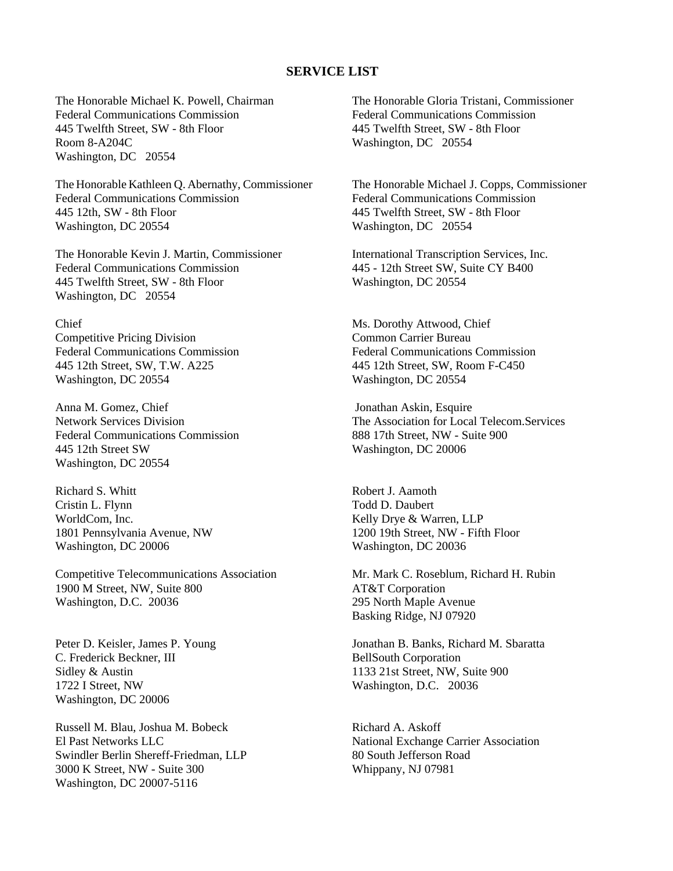### **SERVICE LIST**

The Honorable Michael K. Powell, Chairman Federal Communications Commission 445 Twelfth Street, SW - 8th Floor Room 8-A204C Washington, DC 20554

The Honorable Kathleen Q. Abernathy, Commissioner Federal Communications Commission 445 12th, SW - 8th Floor Washington, DC 20554

The Honorable Kevin J. Martin, Commissioner Federal Communications Commission 445 Twelfth Street, SW - 8th Floor Washington, DC 20554

#### Chief

Competitive Pricing Division Federal Communications Commission 445 12th Street, SW, T.W. A225 Washington, DC 20554

Anna M. Gomez, Chief Network Services Division Federal Communications Commission 445 12th Street SW Washington, DC 20554

Richard S. Whitt Cristin L. Flynn WorldCom, Inc. 1801 Pennsylvania Avenue, NW Washington, DC 20006

Competitive Telecommunications Association 1900 M Street, NW, Suite 800 Washington, D.C. 20036

Peter D. Keisler, James P. Young C. Frederick Beckner, III Sidley & Austin 1722 I Street, NW Washington, DC 20006

Russell M. Blau, Joshua M. Bobeck El Past Networks LLC Swindler Berlin Shereff-Friedman, LLP 3000 K Street, NW - Suite 300 Washington, DC 20007-5116

The Honorable Gloria Tristani, Commissioner Federal Communications Commission 445 Twelfth Street, SW - 8th Floor Washington, DC 20554

The Honorable Michael J. Copps, Commissioner Federal Communications Commission 445 Twelfth Street, SW - 8th Floor Washington, DC 20554

International Transcription Services, Inc. 445 - 12th Street SW, Suite CY B400 Washington, DC 20554

Ms. Dorothy Attwood, Chief Common Carrier Bureau Federal Communications Commission 445 12th Street, SW, Room F-C450 Washington, DC 20554

 Jonathan Askin, Esquire The Association for Local Telecom.Services 888 17th Street, NW - Suite 900 Washington, DC 20006

Robert J. Aamoth Todd D. Daubert Kelly Drye & Warren, LLP 1200 19th Street, NW - Fifth Floor Washington, DC 20036

Mr. Mark C. Roseblum, Richard H. Rubin AT&T Corporation 295 North Maple Avenue Basking Ridge, NJ 07920

Jonathan B. Banks, Richard M. Sbaratta BellSouth Corporation 1133 21st Street, NW, Suite 900 Washington, D.C. 20036

Richard A. Askoff National Exchange Carrier Association 80 South Jefferson Road Whippany, NJ 07981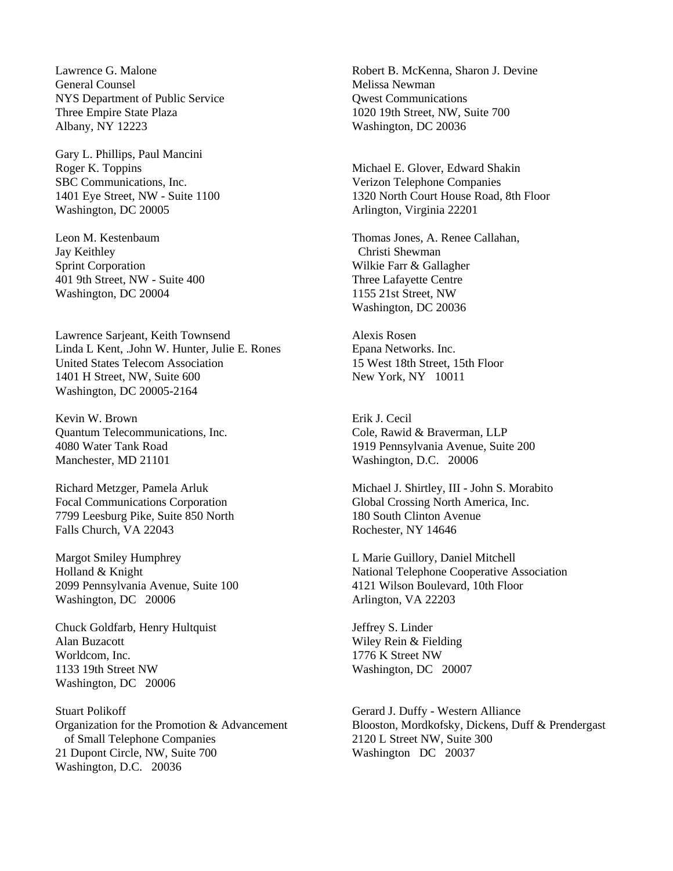Lawrence G. Malone General Counsel NYS Department of Public Service Three Empire State Plaza Albany, NY 12223

Gary L. Phillips, Paul Mancini Roger K. Toppins SBC Communications, Inc. 1401 Eye Street, NW - Suite 1100 Washington, DC 20005

Leon M. Kestenbaum Jay Keithley Sprint Corporation 401 9th Street, NW - Suite 400 Washington, DC 20004

Lawrence Sarjeant, Keith Townsend Linda L Kent, .John W. Hunter, Julie E. Rones United States Telecom Association 1401 H Street, NW, Suite 600 Washington, DC 20005-2164

Kevin W. Brown Quantum Telecommunications, Inc. 4080 Water Tank Road Manchester, MD 21101

Richard Metzger, Pamela Arluk Focal Communications Corporation 7799 Leesburg Pike, Suite 850 North Falls Church, VA 22043

Margot Smiley Humphrey Holland & Knight 2099 Pennsylvania Avenue, Suite 100 Washington, DC 20006

Chuck Goldfarb, Henry Hultquist Alan Buzacott Worldcom, Inc. 1133 19th Street NW Washington, DC 20006

Stuart Polikoff Organization for the Promotion & Advancement of Small Telephone Companies 21 Dupont Circle, NW, Suite 700 Washington, D.C. 20036

Robert B. McKenna, Sharon J. Devine Melissa Newman Qwest Communications 1020 19th Street, NW, Suite 700 Washington, DC 20036

Michael E. Glover, Edward Shakin Verizon Telephone Companies 1320 North Court House Road, 8th Floor Arlington, Virginia 22201

Thomas Jones, A. Renee Callahan, Christi Shewman Wilkie Farr & Gallagher Three Lafayette Centre 1155 21st Street, NW Washington, DC 20036

Alexis Rosen Epana Networks. Inc. 15 West 18th Street, 15th Floor New York, NY 10011

Erik J. Cecil Cole, Rawid & Braverman, LLP 1919 Pennsylvania Avenue, Suite 200 Washington, D.C. 20006

Michael J. Shirtley, III - John S. Morabito Global Crossing North America, Inc. 180 South Clinton Avenue Rochester, NY 14646

L Marie Guillory, Daniel Mitchell National Telephone Cooperative Association 4121 Wilson Boulevard, 10th Floor Arlington, VA 22203

Jeffrey S. Linder Wiley Rein & Fielding 1776 K Street NW Washington, DC 20007

Gerard J. Duffy - Western Alliance Blooston, Mordkofsky, Dickens, Duff & Prendergast 2120 L Street NW, Suite 300 Washington DC 20037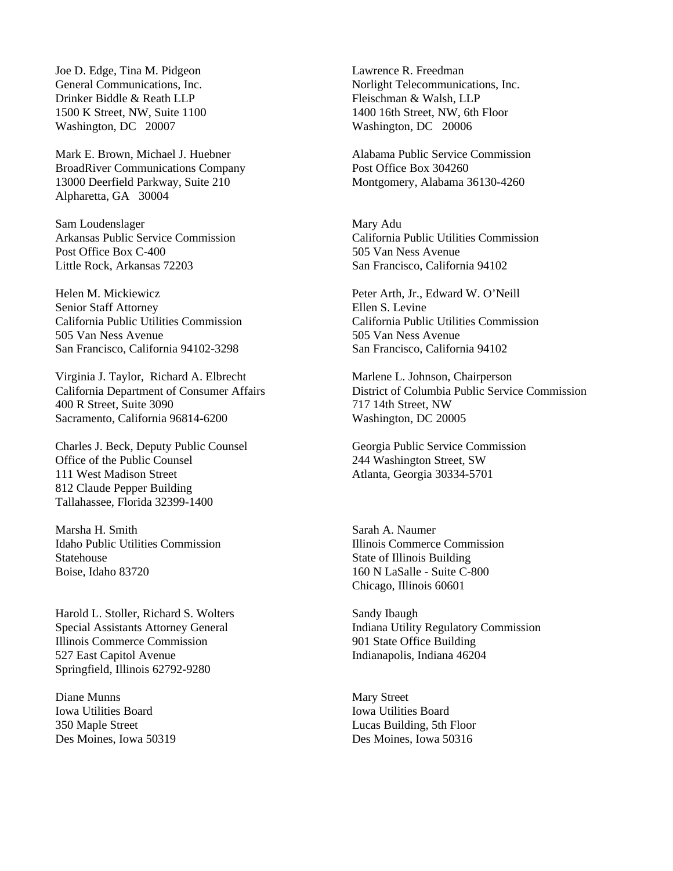Joe D. Edge, Tina M. Pidgeon General Communications, Inc. Drinker Biddle & Reath LLP 1500 K Street, NW, Suite 1100 Washington, DC 20007

Mark E. Brown, Michael J. Huebner BroadRiver Communications Company 13000 Deerfield Parkway, Suite 210 Alpharetta, GA 30004

Sam Loudenslager Arkansas Public Service Commission Post Office Box C-400 Little Rock, Arkansas 72203

Helen M. Mickiewicz Senior Staff Attorney California Public Utilities Commission 505 Van Ness Avenue San Francisco, California 94102-3298

Virginia J. Taylor, Richard A. Elbrecht California Department of Consumer Affairs 400 R Street, Suite 3090 Sacramento, California 96814-6200

Charles J. Beck, Deputy Public Counsel Office of the Public Counsel 111 West Madison Street 812 Claude Pepper Building Tallahassee, Florida 32399-1400

Marsha H. Smith Idaho Public Utilities Commission Statehouse Boise, Idaho 83720

Harold L. Stoller, Richard S. Wolters Special Assistants Attorney General Illinois Commerce Commission 527 East Capitol Avenue Springfield, Illinois 62792-9280

Diane Munns Iowa Utilities Board 350 Maple Street Des Moines, Iowa 50319

Lawrence R. Freedman Norlight Telecommunications, Inc. Fleischman & Walsh, LLP 1400 16th Street, NW, 6th Floor Washington, DC 20006

Alabama Public Service Commission Post Office Box 304260 Montgomery, Alabama 36130-4260

Mary Adu California Public Utilities Commission 505 Van Ness Avenue San Francisco, California 94102

Peter Arth, Jr., Edward W. O'Neill Ellen S. Levine California Public Utilities Commission 505 Van Ness Avenue San Francisco, California 94102

Marlene L. Johnson, Chairperson District of Columbia Public Service Commission 717 14th Street, NW Washington, DC 20005

Georgia Public Service Commission 244 Washington Street, SW Atlanta, Georgia 30334-5701

Sarah A. Naumer Illinois Commerce Commission State of Illinois Building 160 N LaSalle - Suite C-800 Chicago, Illinois 60601

Sandy Ibaugh Indiana Utility Regulatory Commission 901 State Office Building Indianapolis, Indiana 46204

Mary Street Iowa Utilities Board Lucas Building, 5th Floor Des Moines, Iowa 50316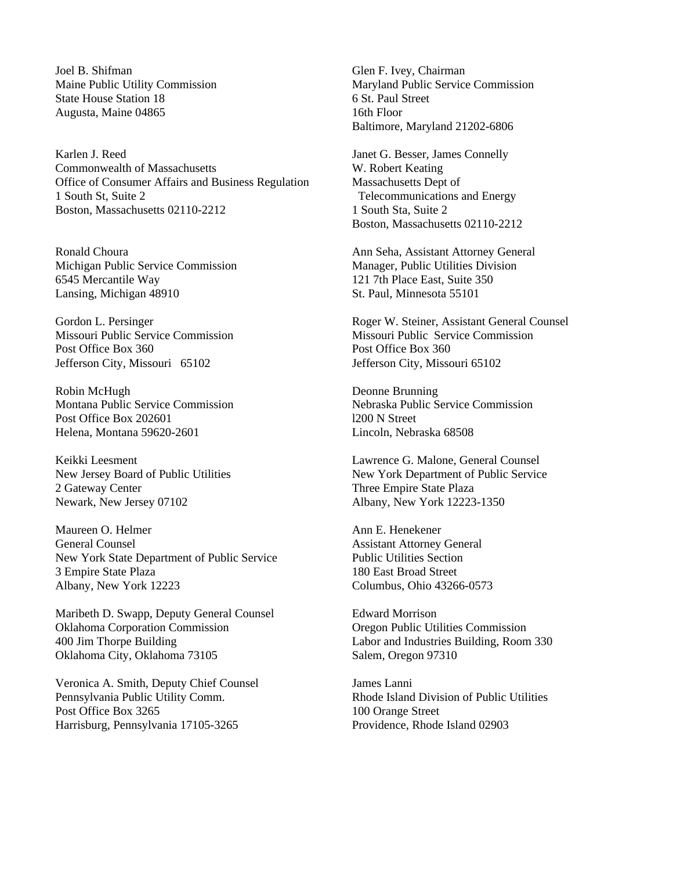Joel B. Shifman Maine Public Utility Commission State House Station 18 Augusta, Maine 04865

Karlen J. Reed Commonwealth of Massachusetts Office of Consumer Affairs and Business Regulation 1 South St, Suite 2 Boston, Massachusetts 02110-2212

Ronald Choura Michigan Public Service Commission 6545 Mercantile Way Lansing, Michigan 48910

Gordon L. Persinger Missouri Public Service Commission Post Office Box 360 Jefferson City, Missouri 65102

Robin McHugh Montana Public Service Commission Post Office Box 202601 Helena, Montana 59620-2601

Keikki Leesment New Jersey Board of Public Utilities 2 Gateway Center Newark, New Jersey 07102

Maureen O. Helmer General Counsel New York State Department of Public Service 3 Empire State Plaza Albany, New York 12223

Maribeth D. Swapp, Deputy General Counsel Oklahoma Corporation Commission 400 Jim Thorpe Building Oklahoma City, Oklahoma 73105

Veronica A. Smith, Deputy Chief Counsel Pennsylvania Public Utility Comm. Post Office Box 3265 Harrisburg, Pennsylvania 17105-3265

Glen F. Ivey, Chairman Maryland Public Service Commission 6 St. Paul Street 16th Floor Baltimore, Maryland 21202-6806

Janet G. Besser, James Connelly W. Robert Keating Massachusetts Dept of Telecommunications and Energy 1 South Sta, Suite 2 Boston, Massachusetts 02110-2212

Ann Seha, Assistant Attorney General Manager, Public Utilities Division 121 7th Place East, Suite 350 St. Paul, Minnesota 55101

Roger W. Steiner, Assistant General Counsel Missouri Public Service Commission Post Office Box 360 Jefferson City, Missouri 65102

Deonne Brunning Nebraska Public Service Commission l200 N Street Lincoln, Nebraska 68508

Lawrence G. Malone, General Counsel New York Department of Public Service Three Empire State Plaza Albany, New York 12223-1350

Ann E. Henekener Assistant Attorney General Public Utilities Section 180 East Broad Street Columbus, Ohio 43266-0573

Edward Morrison Oregon Public Utilities Commission Labor and Industries Building, Room 330 Salem, Oregon 97310

James Lanni Rhode Island Division of Public Utilities 100 Orange Street Providence, Rhode Island 02903